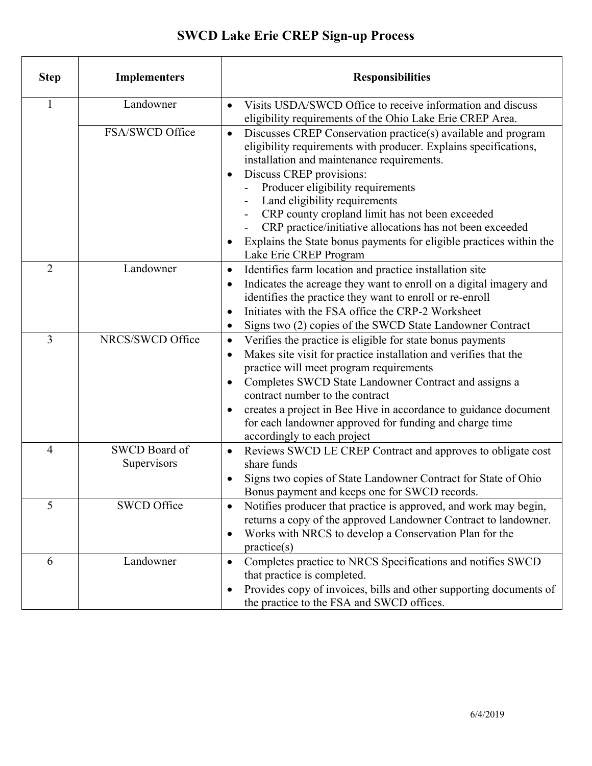## **SWCD Lake Erie CREP Sign-up Process**

| <b>Step</b>    | <b>Implementers</b>          | <b>Responsibilities</b>                                                                                                                                                                                                                                                                                                                                                                                                                                                                                         |
|----------------|------------------------------|-----------------------------------------------------------------------------------------------------------------------------------------------------------------------------------------------------------------------------------------------------------------------------------------------------------------------------------------------------------------------------------------------------------------------------------------------------------------------------------------------------------------|
| 1              | Landowner                    | Visits USDA/SWCD Office to receive information and discuss<br>$\bullet$<br>eligibility requirements of the Ohio Lake Erie CREP Area.                                                                                                                                                                                                                                                                                                                                                                            |
|                | FSA/SWCD Office              | Discusses CREP Conservation practice(s) available and program<br>$\bullet$<br>eligibility requirements with producer. Explains specifications,<br>installation and maintenance requirements.<br>Discuss CREP provisions:<br>Producer eligibility requirements<br>Land eligibility requirements<br>CRP county cropland limit has not been exceeded<br>CRP practice/initiative allocations has not been exceeded<br>Explains the State bonus payments for eligible practices within the<br>Lake Erie CREP Program |
| $\overline{2}$ | Landowner                    | Identifies farm location and practice installation site<br>$\bullet$<br>Indicates the acreage they want to enroll on a digital imagery and<br>$\bullet$<br>identifies the practice they want to enroll or re-enroll<br>Initiates with the FSA office the CRP-2 Worksheet<br>Signs two (2) copies of the SWCD State Landowner Contract                                                                                                                                                                           |
| 3              | NRCS/SWCD Office             | Verifies the practice is eligible for state bonus payments<br>$\bullet$<br>Makes site visit for practice installation and verifies that the<br>$\bullet$<br>practice will meet program requirements<br>Completes SWCD State Landowner Contract and assigns a<br>contract number to the contract<br>creates a project in Bee Hive in accordance to guidance document<br>for each landowner approved for funding and charge time<br>accordingly to each project                                                   |
| 4              | SWCD Board of<br>Supervisors | Reviews SWCD LE CREP Contract and approves to obligate cost<br>$\bullet$<br>share funds<br>Signs two copies of State Landowner Contract for State of Ohio<br>Bonus payment and keeps one for SWCD records.                                                                                                                                                                                                                                                                                                      |
| 5              | <b>SWCD Office</b>           | Notifies producer that practice is approved, and work may begin,<br>returns a copy of the approved Landowner Contract to landowner.<br>Works with NRCS to develop a Conservation Plan for the<br>$\bullet$<br>practive(s)                                                                                                                                                                                                                                                                                       |
| 6              | Landowner                    | Completes practice to NRCS Specifications and notifies SWCD<br>$\bullet$<br>that practice is completed.<br>Provides copy of invoices, bills and other supporting documents of<br>٠<br>the practice to the FSA and SWCD offices.                                                                                                                                                                                                                                                                                 |